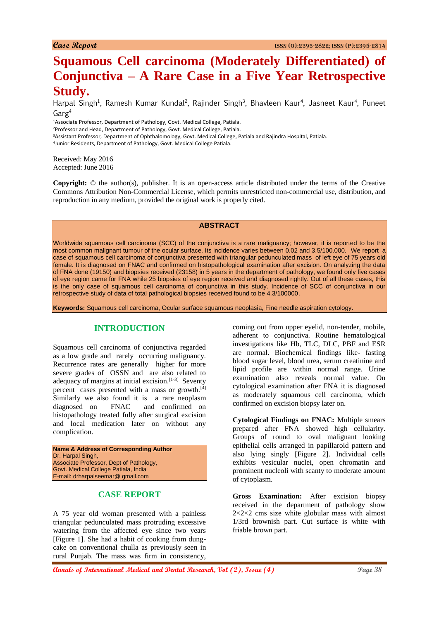# **Squamous Cell carcinoma (Moderately Differentiated) of Conjunctiva – A Rare Case in a Five Year Retrospective Study.**

Harpal Singh<sup>1</sup>, Ramesh Kumar Kundal<sup>2</sup>, Rajinder Singh<sup>3</sup>, Bhavleen Kaur<sup>4</sup>, Jasneet Kaur<sup>4</sup>, Puneet  $G$ arg<sup>4</sup>

<sup>1</sup>Associate Professor, Department of Pathology, Govt. Medical College, Patiala.

<sup>2</sup>Professor and Head, Department of Pathology, Govt. Medical College, Patiala.

<sup>3</sup>Assistant Professor, Department of Ophthalomology, Govt. Medical College, Patiala and Rajindra Hospital, Patiala.

4 Junior Residents, Department of Pathology, Govt. Medical College Patiala.

Received: May 2016 Accepted: June 2016

**Copyright:** © the author(s), publisher. It is an open-access article distributed under the terms of the Creative Commons Attribution Non-Commercial License, which permits unrestricted non-commercial use, distribution, and reproduction in any medium, provided the original work is properly cited.

#### **ABSTRACT**

Worldwide squamous cell carcinoma (SCC) of the conjunctiva is a rare malignancy; however, it is reported to be the most common malignant tumour of the ocular surface. Its incidence varies between 0.02 and 3.5/100.000.We report a case of squamous cell carcinoma of conjunctiva presented with triangular pedunculated mass of left eye of 75 years old female. It is diagnosed on FNAC and confirmed on histopathological examination after excision. On analyzing the data of FNA done (19150) and biopsies received (23158) in 5 years in the department of pathology, we found only five cases of eye region came for FNA while 25 biopsies of eye region received and diagnosed rightly. Out of all these cases, this is the only case of squamous cell carcinoma of conjunctiva in this study. Incidence of SCC of conjunctiva in our retrospective study of data of total pathological biopsies received found to be 4.3/100000.

**Keywords:** Squamous cell carcinoma, Ocular surface squamous neoplasia, Fine needle aspiration cytology.

### **INTRODUCTION**

Squamous cell carcinoma of conjunctiva regarded as a low grade and rarely occurring malignancy. Recurrence rates are generally higher for more severe grades of OSSN and are also related to adequacy of margins at initial excision.<sup>[1-3]</sup> Seventy percent cases presented with a mass or growth.<sup>[4]</sup> Similarly we also found it is a rare neoplasm diagnosed on FNAC and confirmed on histopathology treated fully after surgical excision and local medication later on without any complication.

**Name & Address of Corresponding Author** Dr. Harpal Singh, Associate Professor, Dept of Pathology, Govt. Medical College Patiala, India E-mail: drharpalseemar@ gmail.com

# **CASE REPORT**

A 75 year old woman presented with a painless triangular pedunculated mass protruding excessive watering from the affected eye since two years [Figure 1]. She had a habit of cooking from dungcake on conventional chulla as previously seen in rural Punjab. The mass was firm in consistency,

coming out from upper eyelid, non-tender, mobile, adherent to conjunctiva. Routine hematological investigations like Hb, TLC, DLC, PBF and ESR are normal. Biochemical findings like- fasting blood sugar level, blood urea, serum creatinine and lipid profile are within normal range. Urine examination also reveals normal value. On cytological examination after FNA it is diagnosed as moderately squamous cell carcinoma, which confirmed on excision biopsy later on.

**Cytological Findings on FNAC:** Multiple smears prepared after FNA showed high cellularity. Groups of round to oval malignant looking epithelial cells arranged in papillaroid pattern and also lying singly [Figure 2]. Individual cells exhibits vesicular nuclei, open chromatin and prominent nucleoli with scanty to moderate amount of cytoplasm.

**Gross Examination:** After excision biopsy received in the department of pathology show  $2 \times 2 \times 2$  cms size white globular mass with almost 1/3rd brownish part. Cut surface is white with friable brown part.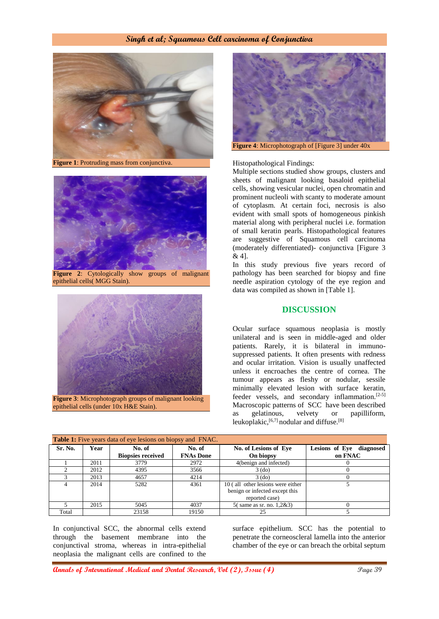#### **Singh et al; Squamous Cell carcinoma of Conjunctiva**



**Figure 1**: Protruding mass from conjunctiva.



**Figure 2**: Cytologically show groups of malignant epithelial cells( MGG Stain).



**Figure 3**: Microphotograph groups of malignant looking epithelial cells (under 10x H&E Stain).



#### Histopathological Findings:

Multiple sections studied show groups, clusters and sheets of malignant looking basaloid epithelial cells, showing vesicular nuclei, open chromatin and prominent nucleoli with scanty to moderate amount of cytoplasm. At certain foci, necrosis is also evident with small spots of homogeneous pinkish material along with peripheral nuclei i.e. formation of small keratin pearls. Histopathological features are suggestive of Squamous cell carcinoma (moderately differentiated)- conjunctiva [Figure 3 & 4].

In this study previous five years record of pathology has been searched for biopsy and fine needle aspiration cytology of the eye region and data was compiled as shown in [Table 1].

#### **DISCUSSION**

Ocular surface squamous neoplasia is mostly unilateral and is seen in middle-aged and older patients. Rarely, it is bilateral in immunosuppressed patients. It often presents with redness and ocular irritation. Vision is usually unaffected unless it encroaches the centre of cornea. The tumour appears as fleshy or nodular, sessile minimally elevated lesion with surface keratin, feeder vessels, and secondary inflammation.<sup>[2-5]</sup> Macroscopic patterns of SCC have been described as gelatinous, velvety or papilliform, leukoplakic, <a>[6,7]</a> nodular and diffuse.<a>[8]</a>

| Table 1: Five years data of eye lesions on biopsy and FNAC. |      |                          |                  |                                   |                          |
|-------------------------------------------------------------|------|--------------------------|------------------|-----------------------------------|--------------------------|
| Sr. No.                                                     | Year | No. of                   | No. of           | No. of Lesions of Eye             | Lesions of Eye diagnosed |
|                                                             |      | <b>Biopsies received</b> | <b>FNAs Done</b> | On biopsy                         | on FNAC                  |
|                                                             | 2011 | 3779                     | 2972             | 4(benign and infected)            |                          |
|                                                             | 2012 | 4395                     | 3566             | $3$ (do)                          |                          |
|                                                             | 2013 | 4657                     | 4214             | $3$ (do)                          |                          |
|                                                             | 2014 | 5282                     | 4361             | 10 (all other lesions were either |                          |
|                                                             |      |                          |                  | benign or infected except this    |                          |
|                                                             |      |                          |                  | reported case)                    |                          |
|                                                             | 2015 | 5045                     | 4037             | 5(same as sr. no. $1,283$ )       |                          |
| Total                                                       |      | 23158                    | 19150            |                                   |                          |

In conjunctival SCC, the abnormal cells extend through the basement membrane into the conjunctival stroma, whereas in intra-epithelial neoplasia the malignant cells are confined to the

surface epithelium. SCC has the potential to penetrate the corneoscleral lamella into the anterior chamber of the eye or can breach the orbital septum